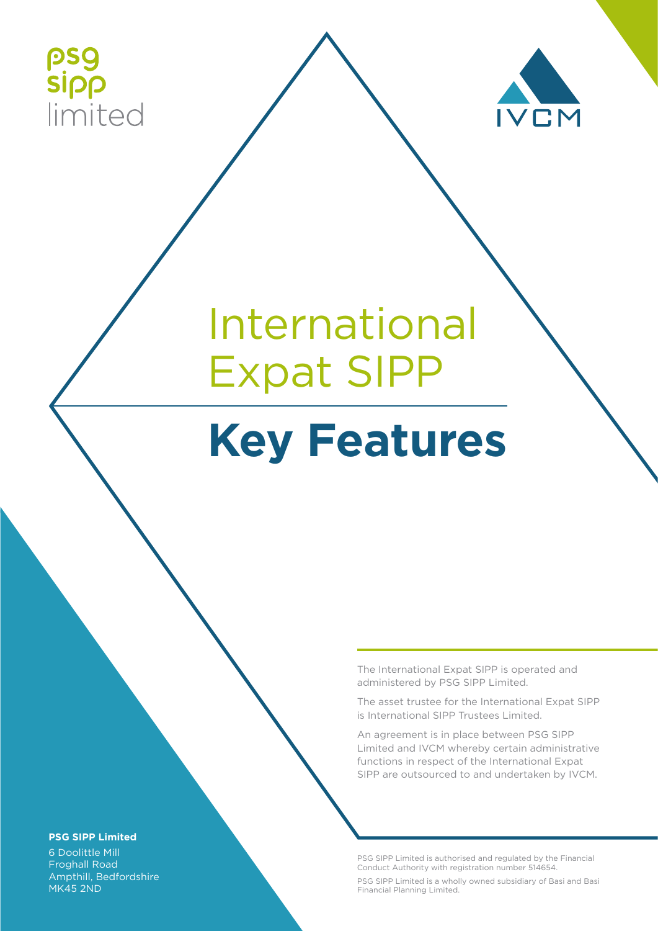



# International Expat SIPP

## **Key Features**

The International Expat SIPP is operated and administered by PSG SIPP Limited.

The asset trustee for the International Expat SIPP is International SIPP Trustees Limited.

An agreement is in place between PSG SIPP Limited and IVCM whereby certain administrative functions in respect of the International Expat SIPP are outsourced to and undertaken by IVCM.

PSG SIPP Limited is authorised and regulated by the Financial Conduct Authority with registration number 514654.

PSG SIPP Limited is a wholly owned subsidiary of Basi and Basi Financial Planning Limited.

#### **PSG SIPP Limited**

6 Doolittle Mill Froghall Road Ampthill, Bedfordshire MK45 2ND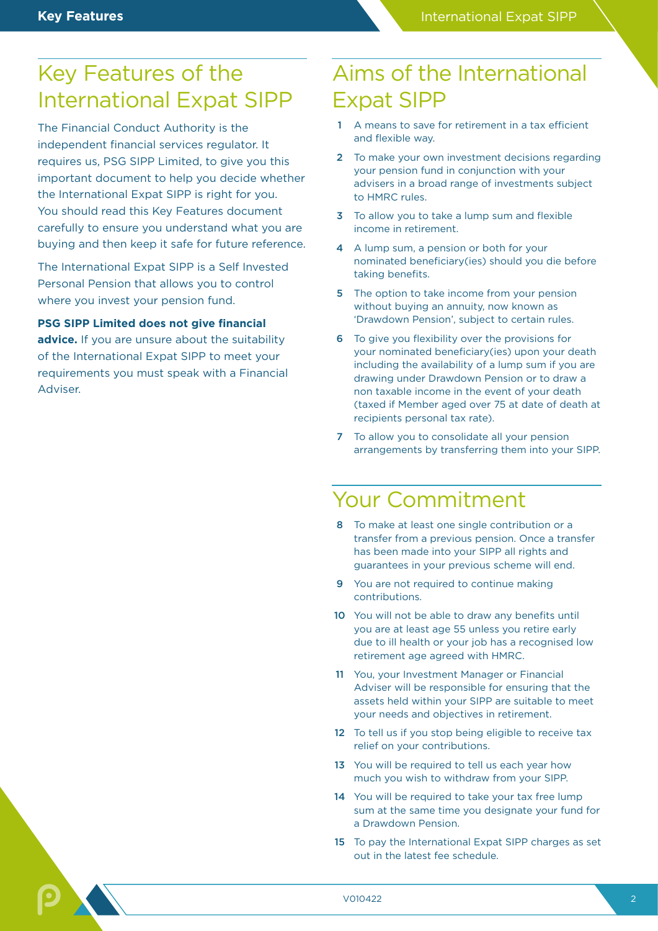## Key Features of the International Expat SIPP

The Financial Conduct Authority is the independent financial services regulator. It requires us, PSG SIPP Limited, to give you this important document to help you decide whether the International Expat SIPP is right for you. You should read this Key Features document carefully to ensure you understand what you are buying and then keep it safe for future reference.

The International Expat SIPP is a Self Invested Personal Pension that allows you to control where you invest your pension fund.

**PSG SIPP Limited does not give financial** 

advice. If you are unsure about the suitability of the International Expat SIPP to meet your requirements you must speak with a Financial Adviser.

## Aims of the International Expat SIPP

- 1 A means to save for retirement in a tax efficient and flexible way.
- 2 To make your own investment decisions regarding your pension fund in conjunction with your advisers in a broad range of investments subject to HMRC rules.
- 3 To allow you to take a lump sum and flexible income in retirement.
- 4 A lump sum, a pension or both for your nominated beneficiary(ies) should you die before taking benefits.
- 5 The option to take income from your pension without buying an annuity, now known as 'Drawdown Pension', subject to certain rules.
- 6 To give you flexibility over the provisions for your nominated beneficiary(ies) upon your death including the availability of a lump sum if you are drawing under Drawdown Pension or to draw a non taxable income in the event of your death (taxed if Member aged over 75 at date of death at recipients personal tax rate).
- 7 To allow you to consolidate all your pension arrangements by transferring them into your SIPP.

### Your Commitment

- 8 To make at least one single contribution or a transfer from a previous pension. Once a transfer has been made into your SIPP all rights and guarantees in your previous scheme will end.
- 9 You are not required to continue making contributions.
- 10 You will not be able to draw any benefits until you are at least age 55 unless you retire early due to ill health or your job has a recognised low retirement age agreed with HMRC.
- 11 You, your Investment Manager or Financial Adviser will be responsible for ensuring that the assets held within your SIPP are suitable to meet your needs and objectives in retirement.
- 12 To tell us if you stop being eligible to receive tax relief on your contributions.
- 13 You will be required to tell us each year how much you wish to withdraw from your SIPP.
- 14 You will be required to take your tax free lump sum at the same time you designate your fund for a Drawdown Pension.
- 15 To pay the International Expat SIPP charges as set out in the latest fee schedule.

V010422 2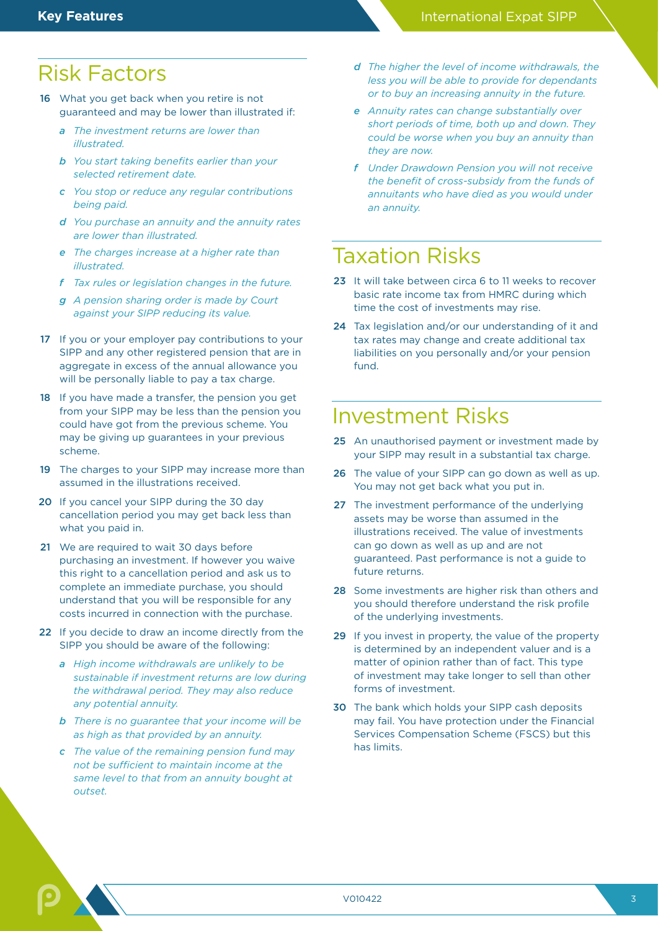### Risk Factors

- 16 What you get back when you retire is not guaranteed and may be lower than illustrated if:
	- *a The investment returns are lower than illustrated.*
	- *b You start taking benefits earlier than your selected retirement date.*
	- *c You stop or reduce any regular contributions being paid.*
	- *d You purchase an annuity and the annuity rates are lower than illustrated.*
	- *e The charges increase at a higher rate than illustrated.*
	- *f Tax rules or legislation changes in the future.*
	- *g A pension sharing order is made by Court against your SIPP reducing its value.*
- 17 If you or your employer pay contributions to your SIPP and any other registered pension that are in aggregate in excess of the annual allowance you will be personally liable to pay a tax charge.
- 18 If you have made a transfer, the pension you get from your SIPP may be less than the pension you could have got from the previous scheme. You may be giving up guarantees in your previous scheme.
- 19 The charges to your SIPP may increase more than assumed in the illustrations received.
- 20 If you cancel your SIPP during the 30 day cancellation period you may get back less than what you paid in.
- 21 We are required to wait 30 days before purchasing an investment. If however you waive this right to a cancellation period and ask us to complete an immediate purchase, you should understand that you will be responsible for any costs incurred in connection with the purchase.
- 22 If you decide to draw an income directly from the SIPP you should be aware of the following:
	- *a High income withdrawals are unlikely to be sustainable if investment returns are low during the withdrawal period. They may also reduce any potential annuity.*
	- *b There is no guarantee that your income will be as high as that provided by an annuity.*
	- *c The value of the remaining pension fund may not be sufficient to maintain income at the same level to that from an annuity bought at outset.*
- *d The higher the level of income withdrawals, the less you will be able to provide for dependants or to buy an increasing annuity in the future.*
- *e Annuity rates can change substantially over short periods of time, both up and down. They could be worse when you buy an annuity than they are now.*
- *f Under Drawdown Pension you will not receive the benefit of cross-subsidy from the funds of annuitants who have died as you would under an annuity.*

## Taxation Risks

- 23 It will take between circa 6 to 11 weeks to recover basic rate income tax from HMRC during which time the cost of investments may rise.
- 24 Tax legislation and/or our understanding of it and tax rates may change and create additional tax liabilities on you personally and/or your pension fund.

## Investment Risks

- 25 An unauthorised payment or investment made by your SIPP may result in a substantial tax charge.
- 26 The value of your SIPP can go down as well as up. You may not get back what you put in.
- 27 The investment performance of the underlying assets may be worse than assumed in the illustrations received. The value of investments can go down as well as up and are not guaranteed. Past performance is not a guide to future returns.
- 28 Some investments are higher risk than others and you should therefore understand the risk profile of the underlying investments.
- 29 If you invest in property, the value of the property is determined by an independent valuer and is a matter of opinion rather than of fact. This type of investment may take longer to sell than other forms of investment.
- 30 The bank which holds your SIPP cash deposits may fail. You have protection under the Financial Services Compensation Scheme (FSCS) but this has limits.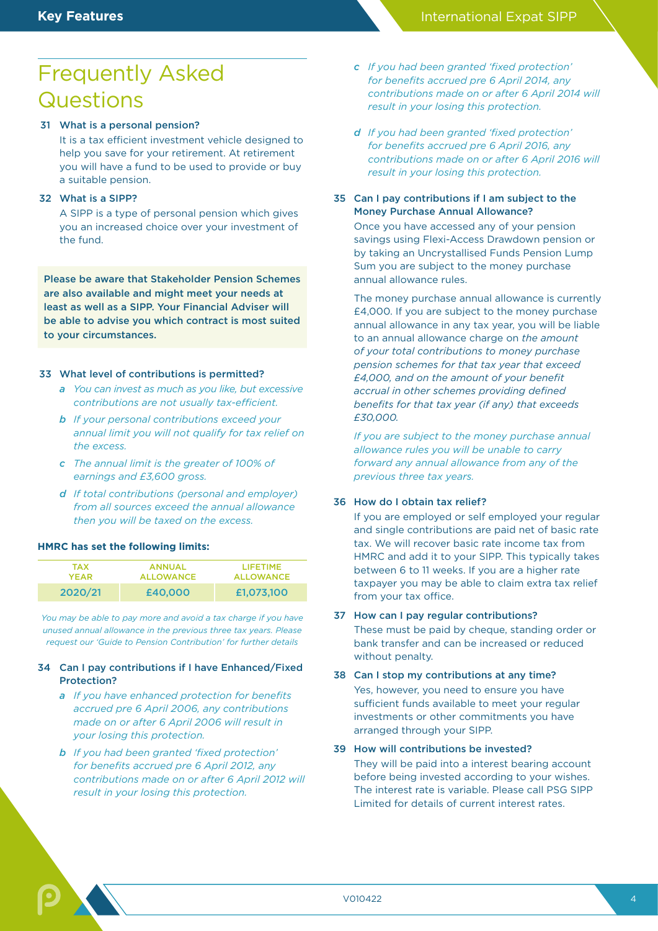## Frequently Asked **Questions**

#### 31 What is a personal pension?

 It is a tax efficient investment vehicle designed to help you save for your retirement. At retirement you will have a fund to be used to provide or buy a suitable pension.

#### 32 What is a SIPP?

 A SIPP is a type of personal pension which gives you an increased choice over your investment of the fund.

Please be aware that Stakeholder Pension Schemes are also available and might meet your needs at least as well as a SIPP. Your Financial Adviser will be able to advise you which contract is most suited to your circumstances.

#### 33 What level of contributions is permitted?

- *a You can invest as much as you like, but excessive contributions are not usually tax-efficient.*
- *b If your personal contributions exceed your annual limit you will not qualify for tax relief on the excess.*
- *c The annual limit is the greater of 100% of earnings and £3,600 gross.*
- *d If total contributions (personal and employer) from all sources exceed the annual allowance then you will be taxed on the excess.*

#### **HMRC has set the following limits:**

| <b>TAX</b> | <b>ANNUAL</b>    | <b>LIFETIME</b>  |
|------------|------------------|------------------|
| YEAR.      | <b>ALLOWANCE</b> | <b>ALLOWANCE</b> |
| 2020/21    | £40,000          | £1,073,100       |

*You may be able to pay more and avoid a tax charge if you have unused annual allowance in the previous three tax years. Please request our 'Guide to Pension Contribution' for further details*

#### 34 Can I pay contributions if I have Enhanced/Fixed Protection?

- *a If you have enhanced protection for benefits accrued pre 6 April 2006, any contributions made on or after 6 April 2006 will result in your losing this protection.*
- *b If you had been granted 'fixed protection' for benefits accrued pre 6 April 2012, any contributions made on or after 6 April 2012 will result in your losing this protection.*
- *c If you had been granted 'fixed protection' for benefits accrued pre 6 April 2014, any contributions made on or after 6 April 2014 will result in your losing this protection.*
- *d If you had been granted 'fixed protection' for benefits accrued pre 6 April 2016, any contributions made on or after 6 April 2016 will result in your losing this protection.*
- 35 Can I pay contributions if I am subject to the Money Purchase Annual Allowance?

 Once you have accessed any of your pension savings using Flexi-Access Drawdown pension or by taking an Uncrystallised Funds Pension Lump Sum you are subject to the money purchase annual allowance rules.

 The money purchase annual allowance is currently £4,000. If you are subject to the money purchase annual allowance in any tax year, you will be liable to an annual allowance charge on *the amount of your total contributions to money purchase pension schemes for that tax year that exceed £4,000, and on the amount of your benefit accrual in other schemes providing defined benefits for that tax year (if any) that exceeds £30,000.*

*If you are subject to the money purchase annual allowance rules you will be unable to carry forward any annual allowance from any of the previous three tax years.*

#### 36 How do I obtain tax relief?

 If you are employed or self employed your regular and single contributions are paid net of basic rate tax. We will recover basic rate income tax from HMRC and add it to your SIPP. This typically takes between 6 to 11 weeks. If you are a higher rate taxpayer you may be able to claim extra tax relief from your tax office.

#### 37 How can I pay regular contributions?

These must be paid by cheque, standing order or bank transfer and can be increased or reduced without penalty.

#### 38 Can I stop my contributions at any time?

 Yes, however, you need to ensure you have sufficient funds available to meet your regular investments or other commitments you have arranged through your SIPP.

#### 39 How will contributions be invested?

 They will be paid into a interest bearing account before being invested according to your wishes. The interest rate is variable. Please call PSG SIPP Limited for details of current interest rates.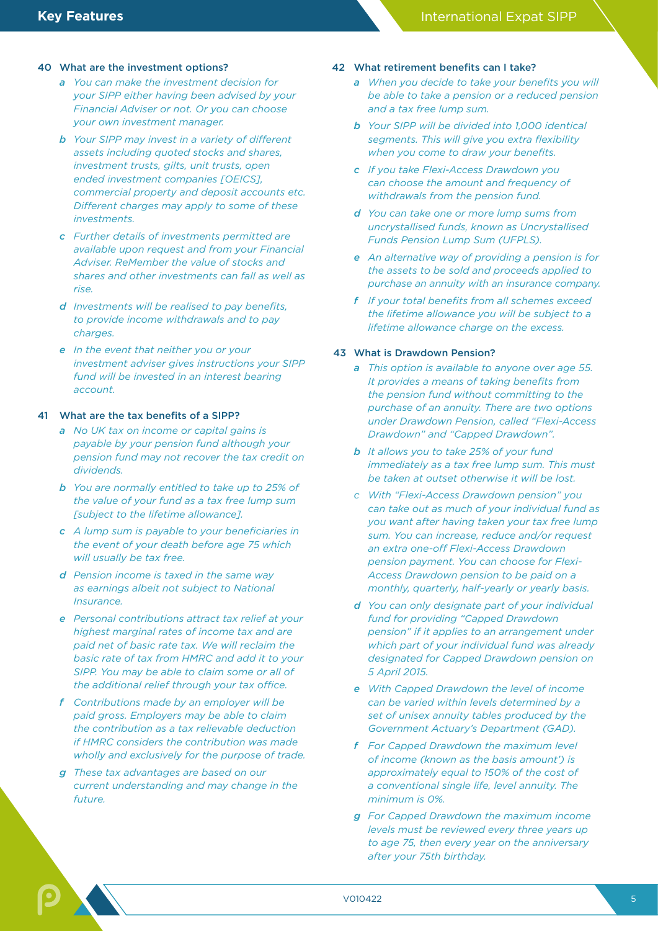#### 40 What are the investment options?

- *a You can make the investment decision for your SIPP either having been advised by your Financial Adviser or not. Or you can choose your own investment manager.*
- *b Your SIPP may invest in a variety of different assets including quoted stocks and shares, investment trusts, gilts, unit trusts, open ended investment companies [OEICS], commercial property and deposit accounts etc. Different charges may apply to some of these investments.*
- *c Further details of investments permitted are available upon request and from your Financial Adviser. ReMember the value of stocks and shares and other investments can fall as well as rise.*
- *d Investments will be realised to pay benefits, to provide income withdrawals and to pay charges.*
- *e In the event that neither you or your investment adviser gives instructions your SIPP fund will be invested in an interest bearing account.*

#### 41 What are the tax benefits of a SIPP?

- *a No UK tax on income or capital gains is payable by your pension fund although your pension fund may not recover the tax credit on dividends.*
- *b You are normally entitled to take up to 25% of the value of your fund as a tax free lump sum [subject to the lifetime allowance].*
- *c A lump sum is payable to your beneficiaries in the event of your death before age 75 which will usually be tax free.*
- *d Pension income is taxed in the same way as earnings albeit not subject to National Insurance.*
- *e Personal contributions attract tax relief at your highest marginal rates of income tax and are paid net of basic rate tax. We will reclaim the basic rate of tax from HMRC and add it to your SIPP. You may be able to claim some or all of the additional relief through your tax office.*
- *f Contributions made by an employer will be paid gross. Employers may be able to claim the contribution as a tax relievable deduction if HMRC considers the contribution was made wholly and exclusively for the purpose of trade.*
- *g These tax advantages are based on our current understanding and may change in the future.*

#### 42 What retirement benefits can I take?

- *a When you decide to take your benefits you will be able to take a pension or a reduced pension and a tax free lump sum.*
- *b Your SIPP will be divided into 1,000 identical segments. This will give you extra flexibility when you come to draw your benefits.*
- *c If you take Flexi-Access Drawdown you can choose the amount and frequency of withdrawals from the pension fund.*
- *d You can take one or more lump sums from uncrystallised funds, known as Uncrystallised Funds Pension Lump Sum (UFPLS).*
- *e An alternative way of providing a pension is for the assets to be sold and proceeds applied to purchase an annuity with an insurance company.*
- *f If your total benefits from all schemes exceed the lifetime allowance you will be subject to a lifetime allowance charge on the excess.*

#### 43 What is Drawdown Pension?

- *a This option is available to anyone over age 55. It provides a means of taking benefits from the pension fund without committing to the purchase of an annuity. There are two options under Drawdown Pension, called "Flexi-Access Drawdown" and "Capped Drawdown".*
- *b It allows you to take 25% of your fund immediately as a tax free lump sum. This must be taken at outset otherwise it will be lost.*
- *c With "Flexi-Access Drawdown pension" you can take out as much of your individual fund as you want after having taken your tax free lump sum. You can increase, reduce and/or request an extra one-off Flexi-Access Drawdown pension payment. You can choose for Flexi-Access Drawdown pension to be paid on a monthly, quarterly, half-yearly or yearly basis.*
- *d You can only designate part of your individual fund for providing "Capped Drawdown pension" if it applies to an arrangement under which part of your individual fund was already designated for Capped Drawdown pension on 5 April 2015.*
- *e With Capped Drawdown the level of income can be varied within levels determined by a set of unisex annuity tables produced by the Government Actuary's Department (GAD).*
- *f For Capped Drawdown the maximum level of income (known as the basis amount') is approximately equal to 150% of the cost of a conventional single life, level annuity. The minimum is 0%.*
- *g For Capped Drawdown the maximum income levels must be reviewed every three years up to age 75, then every year on the anniversary after your 75th birthday.*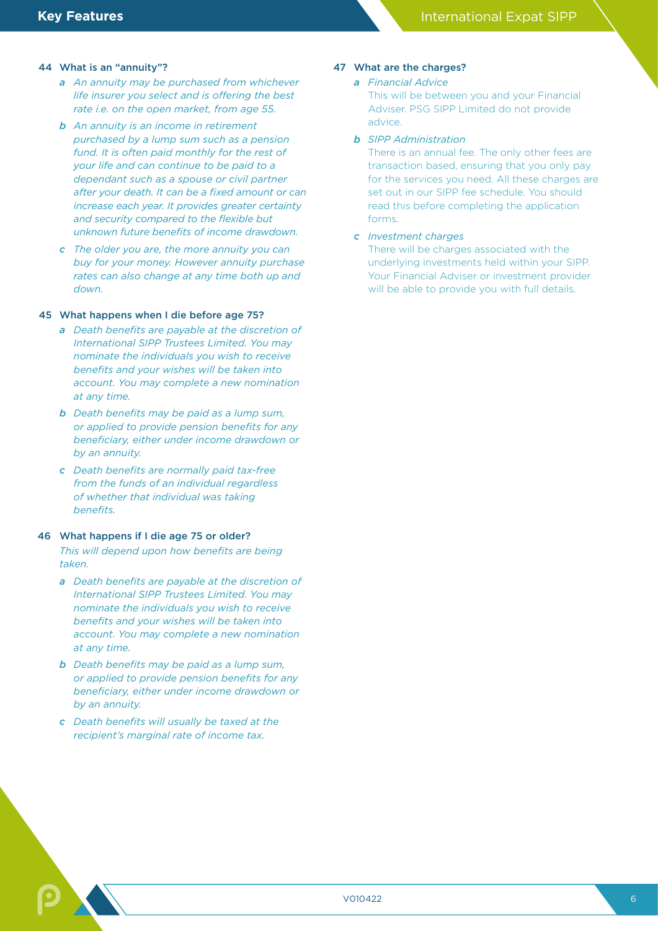#### 44 What is an "annuity"?

- *a An annuity may be purchased from whichever life insurer you select and is offering the best rate i.e. on the open market, from age 55.*
- *b An annuity is an income in retirement purchased by a lump sum such as a pension fund. It is often paid monthly for the rest of your life and can continue to be paid to a dependant such as a spouse or civil partner after your death. It can be a fixed amount or can increase each year. It provides greater certainty and security compared to the flexible but unknown future benefits of income drawdown.*
- *c The older you are, the more annuity you can buy for your money. However annuity purchase rates can also change at any time both up and down.*

#### 45 What happens when I die before age 75?

- *a Death benefits are payable at the discretion of International SIPP Trustees Limited. You may nominate the individuals you wish to receive benefits and your wishes will be taken into account. You may complete a new nomination at any time.*
- *b Death benefits may be paid as a lump sum, or applied to provide pension benefits for any beneficiary, either under income drawdown or by an annuity.*
- *c Death benefits are normally paid tax-free from the funds of an individual regardless of whether that individual was taking benefits.*

#### 46 What happens if I die age 75 or older?

*This will depend upon how benefits are being taken.*

- *a Death benefits are payable at the discretion of International SIPP Trustees Limited. You may nominate the individuals you wish to receive benefits and your wishes will be taken into account. You may complete a new nomination at any time.*
- *b Death benefits may be paid as a lump sum, or applied to provide pension benefits for any beneficiary, either under income drawdown or by an annuity.*
- *c Death benefits will usually be taxed at the recipient's marginal rate of income tax.*

#### 47 What are the charges?

#### *a Financial Advice*

This will be between you and your Financial Adviser. PSG SIPP Limited do not provide advice.

#### *b SIPP Administration*

There is an annual fee. The only other fees are transaction based, ensuring that you only pay for the services you need. All these charges are set out in our SIPP fee schedule. You should read this before completing the application forms.

#### *c Investment charges*

There will be charges associated with the underlying investments held within your SIPP. Your Financial Adviser or investment provider will be able to provide you with full details.